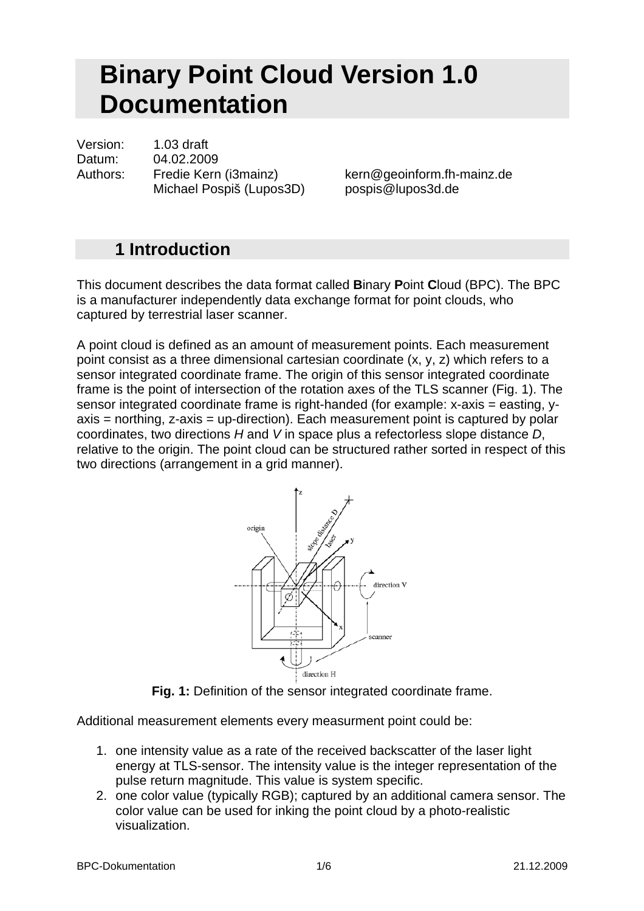# **Binary Point Cloud Version 1.0 Documentation**

Version: 1.03 draft Datum: 04.02.2009 Authors: Fredie Kern (i3mainz) kern@geoinform.fh-mainz.de Michael Pospiš (Lupos3D) pospis@lupos3d.de

## **1 Introduction**

This document describes the data format called **B**inary **P**oint **C**loud (BPC). The BPC is a manufacturer independently data exchange format for point clouds, who captured by terrestrial laser scanner.

A point cloud is defined as an amount of measurement points. Each measurement point consist as a three dimensional cartesian coordinate (x, y, z) which refers to a sensor integrated coordinate frame. The origin of this sensor integrated coordinate frame is the point of intersection of the rotation axes of the TLS scanner (Fig. 1). The sensor integrated coordinate frame is right-handed (for example: x-axis = easting, yaxis = northing, z-axis = up-direction). Each measurement point is captured by polar coordinates, two directions *H* and *V* in space plus a refectorless slope distance *D*, relative to the origin. The point cloud can be structured rather sorted in respect of this two directions (arrangement in a grid manner).



**Fig. 1:** Definition of the sensor integrated coordinate frame.

Additional measurement elements every measurment point could be:

- 1. one intensity value as a rate of the received backscatter of the laser light energy at TLS-sensor. The intensity value is the integer representation of the pulse return magnitude. This value is system specific.
- 2. one color value (typically RGB); captured by an additional camera sensor. The color value can be used for inking the point cloud by a photo-realistic visualization.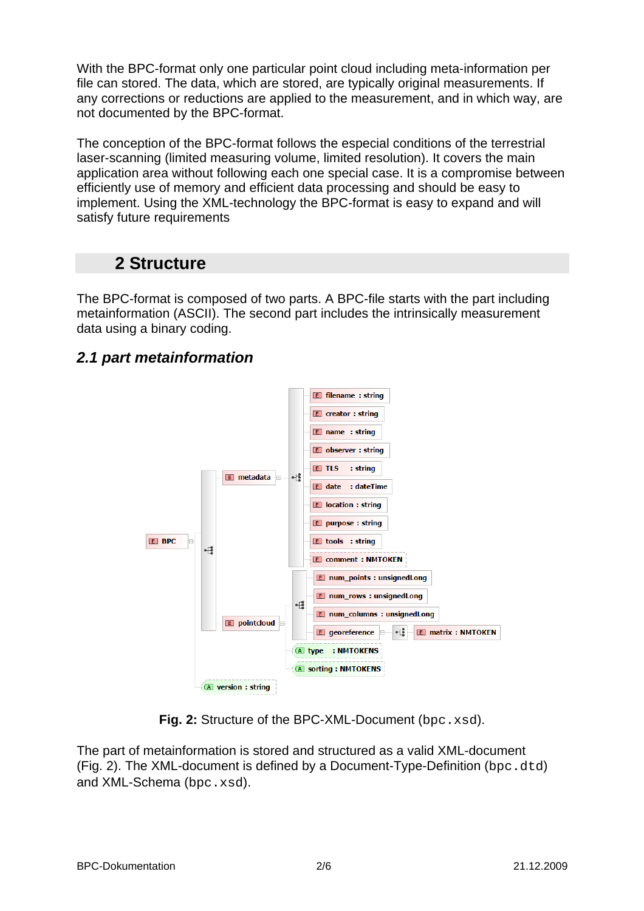With the BPC-format only one particular point cloud including meta-information per file can stored. The data, which are stored, are typically original measurements. If any corrections or reductions are applied to the measurement, and in which way, are not documented by the BPC-format.

The conception of the BPC-format follows the especial conditions of the terrestrial laser-scanning (limited measuring volume, limited resolution). It covers the main application area without following each one special case. It is a compromise between efficiently use of memory and efficient data processing and should be easy to implement. Using the XML-technology the BPC-format is easy to expand and will satisfy future requirements

# **2 Structure**

The BPC-format is composed of two parts. A BPC-file starts with the part including metainformation (ASCII). The second part includes the intrinsically measurement data using a binary coding.

## *2.1 part metainformation*



**Fig. 2:** Structure of the BPC-XML-Document (bpc.xsd).

The part of metainformation is stored and structured as a valid XML-document (Fig. 2). The XML-document is defined by a Document-Type-Definition (bpc.dtd) and XML-Schema (bpc.xsd).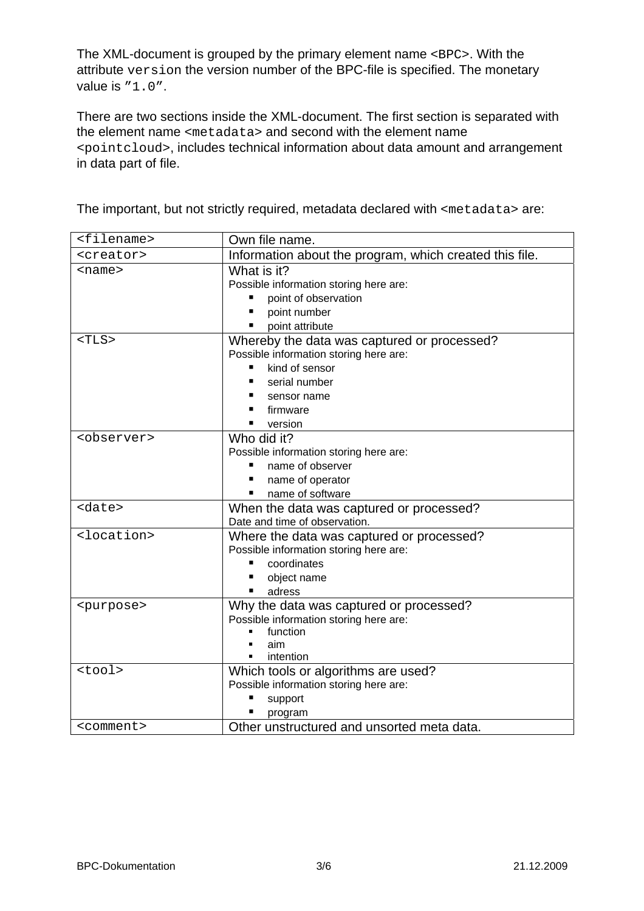The XML-document is grouped by the primary element name <BPC>. With the attribute version the version number of the BPC-file is specified. The monetary value is  $"1.0"$ .

There are two sections inside the XML-document. The first section is separated with the element name <metadata> and second with the element name <pointcloud>, includes technical information about data amount and arrangement in data part of file.

The important, but not strictly required, metadata declared with <metadata> are:

| <filename></filename> | Own file name.                                          |
|-----------------------|---------------------------------------------------------|
| <creator></creator>   | Information about the program, which created this file. |
| <name></name>         | What is it?                                             |
|                       | Possible information storing here are:                  |
|                       | point of observation                                    |
|                       | point number                                            |
|                       | point attribute                                         |
| $<$ TLS $>$           | Whereby the data was captured or processed?             |
|                       | Possible information storing here are:                  |
|                       | kind of sensor                                          |
|                       | serial number                                           |
|                       | sensor name                                             |
|                       | firmware                                                |
|                       | version                                                 |
| <observer></observer> | Who did it?                                             |
|                       | Possible information storing here are:                  |
|                       | name of observer                                        |
|                       | name of operator                                        |
|                       | name of software                                        |
| <date></date>         | When the data was captured or processed?                |
|                       | Date and time of observation.                           |
| <location></location> | Where the data was captured or processed?               |
|                       | Possible information storing here are:                  |
|                       | coordinates                                             |
|                       | object name                                             |
|                       | adress                                                  |
| <purpose></purpose>   | Why the data was captured or processed?                 |
|                       | Possible information storing here are:                  |
|                       | function<br>aim                                         |
|                       | intention                                               |
| <tool></tool>         | Which tools or algorithms are used?                     |
|                       | Possible information storing here are:                  |
|                       | support                                                 |
|                       | program                                                 |
| <comment></comment>   | Other unstructured and unsorted meta data.              |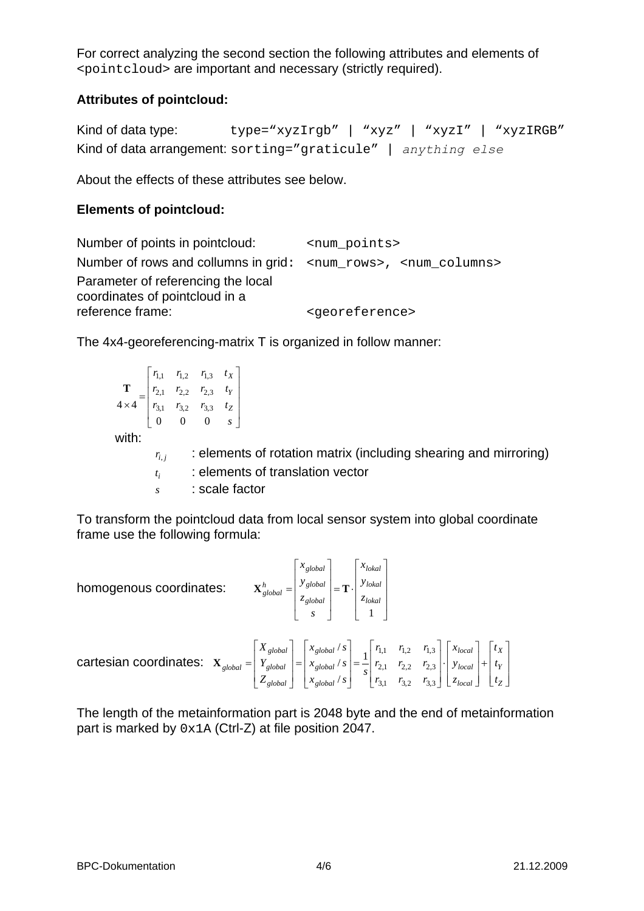For correct analyzing the second section the following attributes and elements of <pointcloud> are important and necessary (strictly required).

#### **Attributes of pointcloud:**

Kind of data type: type="xyzIrgb" | "xyz" | "xyzI" | "xyzIRGB" Kind of data arrangement: sorting="graticule" | *anything else*

About the effects of these attributes see below.

#### **Elements of pointcloud:**

```
Number of points in pointcloud: \langle and \rangle \langle \rangle \langle \rangle \langle \rangle \langle \rangle \langle \rangle \langle \rangle \langle \rangle \langle \rangle \langle \rangle \langle \rangle \langle \rangle \langle \rangle \langle \rangle \langle \rangle \langle \rangle \langle \rangle \langle \rangle \langle Number of rows and collumns in grid: <num_rows>, <num_columns>
Parameter of referencing the local 
coordinates of pointcloud in a 
reference frame: \langleqeoreference>
```
The 4x4-georeferencing-matrix T is organized in follow manner:

$$
\mathbf{T} = \begin{bmatrix} r_{1,1} & r_{1,2} & r_{1,3} & t_X \ r_{2,1} & r_{2,2} & r_{2,3} & t_Y \ r_{3,1} & r_{3,2} & r_{3,3} & t_Z \ 0 & 0 & 0 & s \end{bmatrix}
$$
  
with:  

$$
r_{i,j} = \begin{bmatrix} \text{elements of rotation matrix (including shearing and mirroring)} \\ \text{elements of translation vector} \\ t_i & \text{scale factor} \end{bmatrix}
$$

To transform the pointcloud data from local sensor system into global coordinate frame use the following formula:

homogenous coordinates:

$$
\mathbf{X}_{global}^{h} = \begin{bmatrix} S_{global} \\ Y_{global} \\ Z_{global} \\ S \end{bmatrix} = \mathbf{T} \cdot \begin{bmatrix} V_{total} \\ Y_{total} \\ Z_{total} \\ 1 \end{bmatrix}
$$

⎤

*global*

*x*

 $\overline{\phantom{a}}$ ⎥  $\overline{\phantom{a}}$  $\overline{\phantom{a}}$ 

⎤

*lokal*

 $\mathsf{L}$ 

*x*

⎦

cartesian coordinates:  $\overline{\phantom{a}}$  $\overline{\phantom{a}}$  $\overline{\phantom{a}}$ ⎦ ⎤  $\mathsf{L}$  $\mathsf{L}$  $\mathsf{L}$ ⎣  $\mathsf{L}$ +  $\overline{\phantom{a}}$  $\overline{\phantom{a}}$  $\overline{\phantom{a}}$ ⎦ ⎤  $\mathsf{L}$ ⎣ ⋅  $\overline{\phantom{a}}$ ⎥ ⎥  $\overline{\phantom{a}}$ ⎤  $\parallel$  $\|$  $\|$ ⎣  $\mathsf{L}$ =  $\overline{\phantom{a}}$  $\overline{\phantom{a}}$  $\overline{\phantom{a}}$ ⎦ ⎤  $\mathsf I$ ⎣ =  $\overline{\phantom{a}}$  $\overline{\phantom{a}}$ ⎥ ⎦ ⎤  $\mathsf{I}$ ⎣ = *Z Y X local local local global global global global global global global t t t z y x*  $r_{31}$   $r_{32}$  *r*  $r_{2,1}$   $r_{2,2}$  *r*  $r_{11}$   $r_{12}$   $r_{12}$  $\begin{array}{c|c} \n\begin{array}{c} \n\text{}\n\end{array} \n\text{is} \n\begin{array}{c} \n\text{s} \n\end{array}$  $x_{\alpha \alpha}$  / *s*  $x_{\alpha \alpha}$  / *s Z Y X*  $3,1$   $1,2$   $1,3$ 2,1  $\binom{1}{2,2}$   $\binom{1}{2,3}$  $1$ ,1  $\binom{I_{1,1}}{I_{1,2}}$   $\binom{I_{1,3}}{I_{1,3}}$ / / / **X**

The length of the metainformation part is 2048 byte and the end of metainformation part is marked by 0x1A (Ctrl-Z) at file position 2047.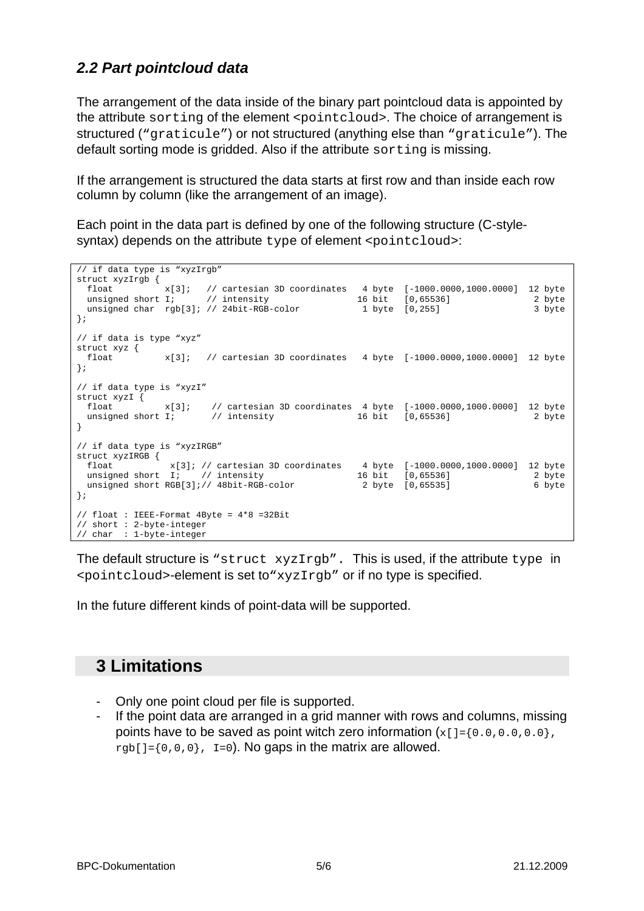#### *2.2 Part pointcloud data*

The arrangement of the data inside of the binary part pointcloud data is appointed by the attribute sorting of the element <pointcloud>. The choice of arrangement is structured ("graticule") or not structured (anything else than "graticule"). The default sorting mode is gridded. Also if the attribute sorting is missing.

If the arrangement is structured the data starts at first row and than inside each row column by column (like the arrangement of an image).

Each point in the data part is defined by one of the following structure (C-stylesyntax) depends on the attribute type of element <pointcloud>:

```
// if data type is "xyzIrgb" 
struct xyzIrgb {
 float x[3]; // cartesian 3D coordinates 4 byte [-1000.0000,1000.0000] 12 byte 
unsigned short I; \frac{1}{10} intensity 16 bit [0,65536] 2 byte
unsigned char rgb[3]; // 24bit-RGB-color 1 byte [0,255] 3 byte
}; 
// if data is type "xyz" 
struct xyz { 
  float x[3]; // cartesian 3D coordinates 4 byte [-1000.0000,1000.0000] 12 byte 
}; 
// if data type is "xyzI" 
// 11 uac.<br>struct xyzI \begin{cases} x[3] \end{cases} float x[3]; // cartesian 3D coordinates 4 byte [-1000.0000,1000.0000] 12 byte 
unsigned short I; \frac{1}{10} // intensity 16 bit [0,65536] 2 byte
} 
// if data type is "xyzIRGB" 
struct xyzIRGB { 
 float x[3]; // cartesian 3D coordinates 4 byte [-1000.0000,1000.0000] 12 byte 
unsigned short I; // intensity 16 bit [0,65536] 2 byte
 unsigned short RGB[3];// 48bit-RGB-color 2 byte [0,65535] 6 byte 
}; 
// float : IEEE-Format 4Byte = 4*8 =32Bit 
// short : 2-byte-integer 
// char : 1-byte-integer
```
The default structure is "struct xyzIrgb". This is used, if the attribute type in <pointcloud>-element is set to"xyzIrgb" or if no type is specified.

In the future different kinds of point-data will be supported.

# **3 Limitations**

- Only one point cloud per file is supported.
- If the point data are arranged in a grid manner with rows and columns, missing points have to be saved as point witch zero information  $\{x[i] = \{0, 0, 0, 0, 0, 0\}$ , rgb[]= $\{0,0,0\}$ , I=0). No gaps in the matrix are allowed.